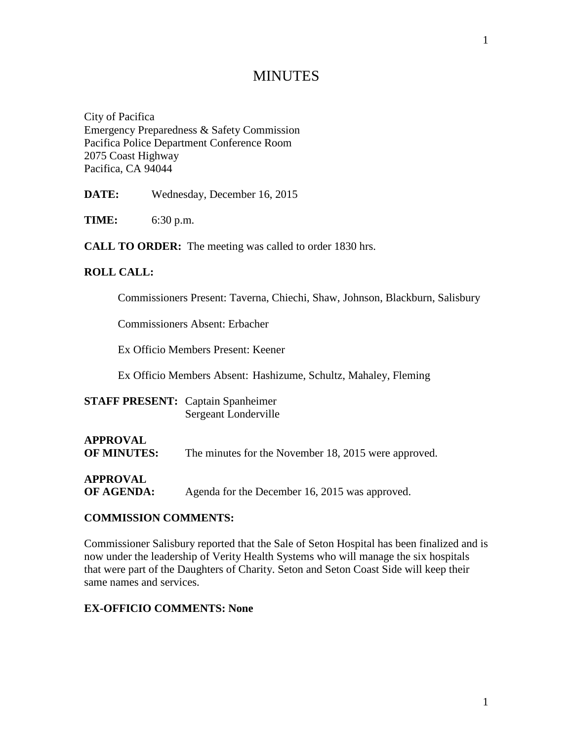# MINUTES

City of Pacifica Emergency Preparedness & Safety Commission Pacifica Police Department Conference Room 2075 Coast Highway Pacifica, CA 94044

**DATE:** Wednesday, December 16, 2015

**TIME:** 6:30 p.m.

**CALL TO ORDER:** The meeting was called to order 1830 hrs.

### **ROLL CALL:**

Commissioners Present: Taverna, Chiechi, Shaw, Johnson, Blackburn, Salisbury

Commissioners Absent: Erbacher

Ex Officio Members Present: Keener

Ex Officio Members Absent: Hashizume, Schultz, Mahaley, Fleming

| <b>STAFF PRESENT:</b> Captain Spanheimer |                      |
|------------------------------------------|----------------------|
|                                          | Sergeant Londerville |

# **APPROVAL**

**OF MINUTES:** The minutes for the November 18, 2015 were approved.

# **APPROVAL**

**OF AGENDA:** Agenda for the December 16, 2015 was approved.

### **COMMISSION COMMENTS:**

Commissioner Salisbury reported that the Sale of Seton Hospital has been finalized and is now under the leadership of Verity Health Systems who will manage the six hospitals that were part of the Daughters of Charity. Seton and Seton Coast Side will keep their same names and services.

# **EX-OFFICIO COMMENTS: None**